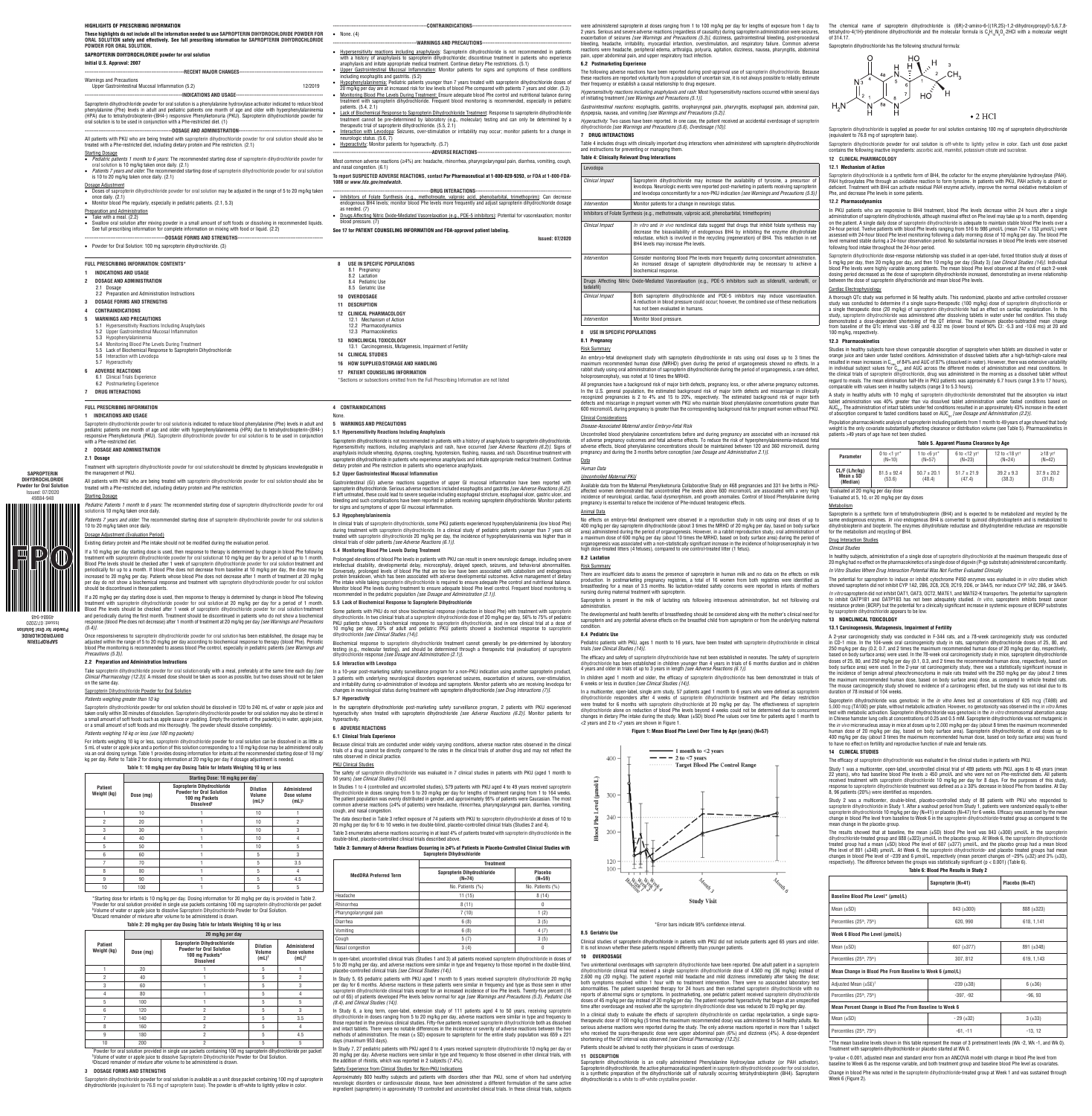**SAPROPTERIN DIHYDROCHLORID Powder for Oral Solutio** Issued: 07/2020 49884-948

 $\mathbb{D}$ 

**TILLE** 

**SAPROPTERIN DIHYDROCHLORIDE Powder for Oral Solution** 0Z0Z/*L*0 :panss 49884-948

| HIGHLIGHTS OF PRESCRIBING INFORMATION                                                                                                                                                                                                                                                                                                                                                                                                         |                                                                                                                                                                                                                                                                                                                                                                                                                                                    |
|-----------------------------------------------------------------------------------------------------------------------------------------------------------------------------------------------------------------------------------------------------------------------------------------------------------------------------------------------------------------------------------------------------------------------------------------------|----------------------------------------------------------------------------------------------------------------------------------------------------------------------------------------------------------------------------------------------------------------------------------------------------------------------------------------------------------------------------------------------------------------------------------------------------|
| These highlights do not include all the information needed to use SAPROPTERIN DIHYDROCHLORIDE POWDER FOR<br>ORAL SOLUTION safely and effectively. See full prescribing information for SAPROPTERIN DIHYDROCHLORIDE<br>POWDER FOR ORAL SOLUTION.                                                                                                                                                                                               | • None. $(4)$                                                                                                                                                                                                                                                                                                                                                                                                                                      |
| SAPROPTERIN DIHYDROCHLORIDE powder for oral solution                                                                                                                                                                                                                                                                                                                                                                                          | • Hypersensitivity reactions including anaphylaxis: Sapropterin dihydrochloride is not recommended in patients                                                                                                                                                                                                                                                                                                                                     |
| Initial U.S. Approval: 2007                                                                                                                                                                                                                                                                                                                                                                                                                   | with a history of anaphylaxis to sapropterin dihydrochloride; discontinue treatment in patients who experience<br>anaphylaxis and initate appropriate medical treatment. Continue dietary Phe restrictions. (5.1)<br>Upper Gastrointestinal Mucosal Inflammation: Monitor patients for signs and symptoms of these conditions                                                                                                                      |
| <b>Warnings and Precautions</b><br>12/2019<br>Upper Gastrointestinal Mucosal Inflammation (5.2)                                                                                                                                                                                                                                                                                                                                               | including esophagitis and gastritis. (5.2)<br>• Hypophenylalaninemia: Pediatric patients younger than 7 years treated with sapropterin dihydrochloride doses of<br>20 mg/kg per day are at increased risk for low levels of blood Phe compared with patients 7 years and older. (5.3)<br>Monitoring Blood Phe Levels During Treatment: Ensure adequate blood Phe control and nutritional balance during<br>$\bullet$                               |
| Sapropterin dihydrochloride powder for oral solution is a phenylalanine hydroxylase activator indicated to reduce blood<br>phenylalanine (Phe) levels in adult and pediatric patients one month of age and older with hyperphenylalaninemia<br>(HPA) due to tetrahydrobiopterin-(BH4-) responsive Phenylketonuria (PKU). Sapropterin dihydrochloride powder for<br>oral solution is to be used in conjunction with a Phe-restricted diet. (1) | treatment with sapropterin dihydrochloride. Frequent blood monitoring is recommended, especially in pediatric<br>patients. (5.4, 2.1)<br>Lack of Biochemical Response to Sapropterin Dihydrochloride Treatment: Response to sapropterin dihydrochloride<br>$\bullet$<br>treatment cannot be pre-determined by laboratory (e.g., molecular) testing and can only be determined by a<br>therapeutic trial of sapropterin dihydrochloride. (5.5, 2.1) |
|                                                                                                                                                                                                                                                                                                                                                                                                                                               | • Interaction with Levodopa: Seizures, over-stimulation or irritability may occur; monitor patients for a change in                                                                                                                                                                                                                                                                                                                                |
| All patients with PKU who are being treated with sapropterin dihydrochloride powder for oral solution should also be<br>treated with a Phe-restricted diet, including dietary protein and Phe restriction. (2.1)                                                                                                                                                                                                                              | neurologic status. (5.6, 7)<br>• Hyperactivity: Monitor patients for hyperactivity. (5.7)                                                                                                                                                                                                                                                                                                                                                          |
| <b>Starting Dosage</b><br>• Pediatric patients 1 month to 6 years: The recommended starting dose of sapropterin dihydrochloride powder for                                                                                                                                                                                                                                                                                                    |                                                                                                                                                                                                                                                                                                                                                                                                                                                    |
| oral solution is 10 mg/kg taken once daily. (2.1)<br>Patients 7 years and older. The recommended starting dose of sapropterin dihydrochloride powder for oral solution                                                                                                                                                                                                                                                                        | Most common adverse reactions ( $\geq$ 4%) are: headache, rhinorrhea, pharyngolaryngeal pain, diarrhea, vomiting, cough,<br>and nasal congestion. (6.1)                                                                                                                                                                                                                                                                                            |
| is 10 to 20 mg/kg taken once daily. (2.1)                                                                                                                                                                                                                                                                                                                                                                                                     | To report SUSPECTED ADVERSE REACTIONS, contact Par Pharmaceutical at 1-800-828-9393, or FDA at 1-800-FDA-<br>1088 or www.fda.gov/medwatch.                                                                                                                                                                                                                                                                                                         |
| Dosage Adjustment<br>Doses of sapropterin dihydrochloride powder for oral solution may be adjusted in the range of 5 to 20 mg/kg taken<br>once daily. (2.1)<br>• Monitor blood Phe regularly, especially in pediatric patients. (2.1, 5.3)                                                                                                                                                                                                    | • Inhibitors of Folate Synthesis (e.g., methotrexate, valproic acid, phenobarbital, trimethoprim): Can decrease<br>endogenous BH4 levels; monitor blood Phe levels more frequently and adjust sapropterin dihydrochloride dosage                                                                                                                                                                                                                   |
| Preparation and Administration                                                                                                                                                                                                                                                                                                                                                                                                                | as needed. (7)                                                                                                                                                                                                                                                                                                                                                                                                                                     |
| Take with a meal. (2.2)<br>$\bullet$<br>Swallow oral solution after mixing powder in a small amount of soft foods or dissolving in recommended liquids.<br>See full prescribing information for complete information on mixing with food or liquid. (2.2)                                                                                                                                                                                     | • Drugs Affecting Nitric Oxide-Mediated Vasorelaxation (e.g., PDE-5 inhibitors): Potential for vasorelaxation; monitor<br>blood pressure. (7)<br>See 17 for PATIENT COUNSELING INFORMATION and FDA-approved patient labeling.                                                                                                                                                                                                                      |
|                                                                                                                                                                                                                                                                                                                                                                                                                                               | <b>Issued: 07/2020</b>                                                                                                                                                                                                                                                                                                                                                                                                                             |
| Powder for Oral Solution: 100 mg sapropterin dihydrochloride. (3)                                                                                                                                                                                                                                                                                                                                                                             |                                                                                                                                                                                                                                                                                                                                                                                                                                                    |
| <b>FULL PRESCRIBING INFORMATION: CONTENTS*</b>                                                                                                                                                                                                                                                                                                                                                                                                | USE IN SPECIFIC POPULATIONS<br>8<br>8.1 Pregnancy                                                                                                                                                                                                                                                                                                                                                                                                  |
| <b>INDICATIONS AND USAGE</b><br>-1                                                                                                                                                                                                                                                                                                                                                                                                            | 8.2 Lactation                                                                                                                                                                                                                                                                                                                                                                                                                                      |
| $\overline{2}$<br><b>DOSAGE AND ADMINISTRATION</b><br>2.1 Dosage                                                                                                                                                                                                                                                                                                                                                                              | 8.4 Pediatric Use<br>8.5 Geriatric Use                                                                                                                                                                                                                                                                                                                                                                                                             |
| 2.2 Preparation and Administration Instructions                                                                                                                                                                                                                                                                                                                                                                                               | 10 OVERDOSAGE                                                                                                                                                                                                                                                                                                                                                                                                                                      |
| <b>DOSAGE FORMS AND STRENGTHS</b><br>3                                                                                                                                                                                                                                                                                                                                                                                                        | 11 DESCRIPTION                                                                                                                                                                                                                                                                                                                                                                                                                                     |
| <b>CONTRAINDICATIONS</b><br>4                                                                                                                                                                                                                                                                                                                                                                                                                 | 12 CLINICAL PHARMACOLOGY                                                                                                                                                                                                                                                                                                                                                                                                                           |
| <b>WARNINGS AND PRECAUTIONS</b><br>5<br>5.1 Hypersensitivity Reactions Including Anaphylaxis<br>5.2 Upper Gastrointestinal Mucosal Inflammation                                                                                                                                                                                                                                                                                               | 12.1 Mechanism of Action<br>12.2 Pharmacodynamics<br>12.3 Pharmacokinetics                                                                                                                                                                                                                                                                                                                                                                         |
| 5.3 Hypophenylalaninemia<br>5.4 Monitoring Blood Phe Levels During Treatment                                                                                                                                                                                                                                                                                                                                                                  | 13 NONCLINICAL TOXICOLOGY<br>13.1 Carcinogenesis, Mutagenesis, Impairment of Fertility                                                                                                                                                                                                                                                                                                                                                             |
| 5.5 Lack of Biochemical Response to Sapropterin Dihydrochloride<br>5.6 Interaction with Levodopa                                                                                                                                                                                                                                                                                                                                              | <b>CLINICAL STUDIES</b><br>14                                                                                                                                                                                                                                                                                                                                                                                                                      |
| 5.7 Hyperactivity                                                                                                                                                                                                                                                                                                                                                                                                                             | 16 HOW SUPPLIED/STORAGE AND HANDLING                                                                                                                                                                                                                                                                                                                                                                                                               |
| <b>ADVERSE REACTIONS</b>                                                                                                                                                                                                                                                                                                                                                                                                                      | 17 PATIENT COUNSELING INFORMATION                                                                                                                                                                                                                                                                                                                                                                                                                  |
| 6.1 Clinical Trials Experience<br>6.2 Postmarketing Experience                                                                                                                                                                                                                                                                                                                                                                                | *Sections or subsections omitted from the Full Prescribing Information are not listed                                                                                                                                                                                                                                                                                                                                                              |
| <b>DRUG INTERACTIONS</b><br>7                                                                                                                                                                                                                                                                                                                                                                                                                 |                                                                                                                                                                                                                                                                                                                                                                                                                                                    |

If a 10 mg/kg per day starting dose is used, then response to therapy is determined by change in blood Phe following<br>treatment with sapropterin dihydrochloride powder for oral solution at 10 mg/kg per day for a period of u Blood Phe levels should be checked after 1 week of sapropterin dihydrochloride powder for oral solution†reatment and<br>periodically for up to a month. If blood Phe does not decrease from baseline at 10 mg/kg per day, the dos increased to 20 mg/kg per day. Patients whose blood Phe does not decrease after 1 month of treatment at 20 mg/kg per day do not show a biochemical response and treatment with sapropterin dihydrochloride powder for oral solution should be discontinued in these patients.

If a 20 mg/kg per day starting dose is used, then response to therapy is determined by change in blood Phe following<br>treatment with sapropterin dihydrochloride powder for oral solution at 20 mg/kg per day for a period of 1 Blood Phe levels should be checked after 1 week of sapropterin dihydrochloride powder for oral solution treatment and periodically during the first month. Treatment should be discontinued in patients who do not show a biochemical response (blood Phe does not decrease) after 1 month of treatment at 20 mg/kg per day *[see Warnings and Precautions (5.4)]*.

Sapropterin dihydrochloride powder for oral solution should be dissolved in 120 to 240 mL of water or apple juice and<br>taken orally within 30 minutes of dissolution. Sapropterin dihydrochloride powder for oral solution may or a small amount of soft foods and mix thoroughly. The powder should dissolve completely.

\*Starting dose for infants is 10 mg/kg per day. Dosing information for 20 mg/kg per day is provided in Table 2. † Powder for oral solution provided in single use packets containing 100 mg sapropterin dihydrochloride per packet ‡Volume of water or apple juice to dissolve Sapropterin Dihydrochloride Powder for Oral Solution.<br>§Discard remainder of mixture after volume to be administered is drawn.

\* Powder for oral solution provided in single use packets containing 100 mg sapropterin dihydrochloride per packet †Volume of water or apple juice to dissolve Sapropterin Dihydrochloride Powder for Oral Solution.<br>§Discard remainder of mixture after volume to be administered is drawn.

Sapropterin dihydrochloride powder for oral solution is available as a unit dose packet containing 100 mg of sapropterin dihydrochloride (equivalent to 76.8 mg of sapropterin base). The powder is off-white to lightly yellow in colo

#### **FULL PRESCRIBING INFORMATION**

#### **1 INDICATIONS AND USAGE**

Sapropterin dihydrochloride powder for oral solution is indicated to reduce blood phenylalanine (Phe) levels in adult and pediatric patients one month of age and older with hyperphenylalaninemia (HPA) due to tetrahydrobiopterin-(BH4-)<br>responsive Phenylketonuria (PKU). Sapropterin dihydrochloride powder for oral solution is to be used in conju with a Phe-restricted diet.

# **2 DOSAGE AND ADMINISTRATION**

# **2.1 Dosage**

Treatment with sapropterin dihydrochloride powder for oral solution should be directed by physicians knowledgeable in the management of PKU.

> Prolonged elevations of blood Phe levels in patients with PKU can result in severe neurologic damage, including severe intellectual disability, developmental delay, microcephaly, delayed speech, seizures, and behavioral abnormalities. Conversely, prolonged levels of blood Phe that are too low have been associated with catabolism and endogenous protein breakdown, which has been associated with adverse developmental outcomes. Active management of dietary<br>Phe intake while taking sapropterin dihydrochloride is required to ensure adequate Phe control and nutritional Monitor blood Phe levels during treatment to ensure adequate blood Phe level control. Frequent blood monitoring is ended in the pediatric population *[see Dosage and Administration (2.1)]*.

All patients with PKU who are being treated with sapropterin dihydrochloride powder for oral solution should also be treated with a Phe-restricted diet, including dietary protein and Phe restriction.

#### Starting Dosage

*Pediatric Patients 1 month to 6 years*: The recommended starting dose of sapropterin dihydrochloride powder for oral solution is 10 mg/kg taken once daily.

*Patients 7 years and older*: The recommended starting dose of sapropterin dihydrochloride powder for oral solution is 10 to 20 mg/kg taken once daily.

#### Dosage Adjustment (Evaluation Period)

Existing dietary protein and Phe intake should not be modified during the evaluation period.

# Biochemical response to sapropterin dihydrochloride treatment cannot generally be pre-determined by laboratory testing (e.g., molecular testing), and should be determined through a therapeutic trial (evaluation) of sapropterin<br>dihydrochloride response*[see Dosage and Administration (2.1)].*

In Studies 1 to 4 (controlled and uncontrolled studies), 579 patients with PKU aged 4 to 49 years received sapropterin<br>dihydrochloride in doses ranging from 5 to 20 mg/kg per day for lengths of treatment ranging from 1 to common adverse reactions (≥4% of patients) were headache, rhinorrhea, pharyngolaryngeal pain, diarrhea, vomiting, cough, and nasal congestion.

### **Table 3: Summary of Adverse Reactions Occurring in ≥4% of Patients in Placebo-Controlled Clinical Studies with Sanronterin Dihydroc**

Once responsiveness to sapropterin dihydrochloride powder for oral solution has been established, the dosage may be adjusted within the range of 5 to 20 mg/kg per day according to biochemical response to therapy (blood Phe). Periodic blood Phe monitoring is recommended to assess blood Phe control, especially in pediatric patients *[see Warnings and Precautions (5.3)]*.

### **2.2 Preparation and Administration Instructions**

Take sapropterin dihydrochloride powder for oral solution orally with a meal, preferably at the same time each day *[see Clinical Pharmacology (12.3)]*. A missed dose should be taken as soon as possible, but two doses should not be taken on the same day.

# Sapropterin Dihydrochloride Powder for Oral Solution

*Patients weighing greater than 10 kg*

In Study 7, 27 pediatric patients with PKU aged 0 to 4 years received sapropterin dihydrochloride 10 mg/kg per day or 20 mg/kg per day. Adverse reactions were similar in type and frequency to those observed in other clinical trials, with the addition of rhinitis, which was reported in 2 subjects (7.4%).

Approximately 800 healthy subjects and patients with disorders other than PKU, some of whom had underlying neurologic disorders or cardiovascular disease, have been administered a different formulation of the same active<br>ingredient (sapropterin) in approximately 19 controlled and uncontrolled clinical trials. In these clinical



*Patients weighing 10 kg or less (use 100 mg packets)*

were administered sapropterin at doses ranging from 1 to 100 mg/kg per day for lengths of exposure from 1 day to 2 years. Serious and severe adverse reactions (regardless of causality) during sapropterin administration were seizures,<br>exacerbation of seizures *[see Warnings and Precautions (5.3)],* dizziness, gastrointestinal bleeding reactions were headache, peripheral edema, arthralgia, polyuria, agitation, dizziness, nausea, pharyngitis, abdominal pain, upper abdominal pain, and upper respiratory tract infection.

For infants weighing 10 kg or less, sapropterin dihydrochloride powder for oral solution can be dissolved in as little as 5 mL of water or apple juice and a portion of this solution corresponding to a 10 mg/kg dose may be administered orally via an oral dosing syringe. Table 1 provides dosing information for infants at the recommended starting dose of 10 mg/ kg per day. Refer to Table 2 for dosing information at 20 mg/kg per day if dosage adjustment is needed.

#### **Table 1: 10 mg/kg per day Dosing Table for Infants Weighing 10 kg or less**

|                        | Starting Dose: 10 mg/kg per day' |                                                                                                            |                                                  |                                                    |
|------------------------|----------------------------------|------------------------------------------------------------------------------------------------------------|--------------------------------------------------|----------------------------------------------------|
| Patient<br>Weight (kg) | Dose (mg)                        | Sapropterin Dihydrochloride<br><b>Powder for Oral Solution</b><br>100 mg Packets<br>Dissolved <sup>+</sup> | <b>Dilution</b><br>Volume<br>$(mL)$ <sup>‡</sup> | Administered<br>Dose volume<br>$(mL)$ <sup>§</sup> |
|                        | 10                               |                                                                                                            | 10                                               |                                                    |
| $\overline{2}$         | 20                               |                                                                                                            | 10                                               | $\overline{2}$                                     |
| 3                      | 30                               |                                                                                                            | 10                                               | 3                                                  |
| 4                      | 40                               |                                                                                                            | 10                                               | 4                                                  |
| 5                      | 50                               |                                                                                                            | 10                                               | 5                                                  |
| 6                      | 60                               |                                                                                                            | 5                                                | 3                                                  |
| 7                      | 70                               |                                                                                                            | 5                                                | 3.5                                                |
| 8                      | 80                               |                                                                                                            | 5                                                | 4                                                  |
| 9                      | 90                               |                                                                                                            | 5                                                | 4.5                                                |
| 10                     | 100                              |                                                                                                            | 5                                                | 5                                                  |

Table 4 includes drugs with clinically important drug interactions when administered with sapropterin dihydrochloride and instructions for preventing or managing them.

### **Table 2: 20 mg/kg per day Dosing Table for Infants Weighing 10 kg or less**

|                        | 20 mg/kg per day |                                                                                                       |                                                  |                                                    |
|------------------------|------------------|-------------------------------------------------------------------------------------------------------|--------------------------------------------------|----------------------------------------------------|
| Patient<br>Weight (kg) | Dose (mg)        | Sapropterin Dihydrochloride<br><b>Powder for Oral Solution</b><br>100 mg Packets*<br><b>Dissolved</b> | <b>Dilution</b><br>Volume<br>$(mL)$ <sup>†</sup> | Administered<br>Dose volume<br>$(mL)$ <sup>§</sup> |
|                        | 20               |                                                                                                       | 5                                                |                                                    |
| $\overline{2}$         | 40               |                                                                                                       | 5                                                | $\overline{2}$                                     |
| 3                      | 60               |                                                                                                       | 5                                                | 3                                                  |
| 4                      | 80               |                                                                                                       | 5                                                | 4                                                  |
| 5                      | 100              |                                                                                                       | 5                                                | 5                                                  |
| 6                      | 120              | $\overline{2}$                                                                                        | 5                                                | 3                                                  |
| 7                      | 140              | $\overline{2}$                                                                                        | 5                                                | 3.5                                                |
| 8                      | 160              | $\overline{2}$                                                                                        | 5                                                | 4                                                  |
| 9                      | 180              | $\overline{2}$                                                                                        | 5                                                | 4.5                                                |
| 10                     | 200              | $\overline{2}$                                                                                        | 5                                                | 5                                                  |

### **3 DOSAGE FORMS AND STRENGTHS**

**4 CONTRAINDICATIONS**

### None.

# **5 WARNINGS AND PRECAUTIONS**

# **5.1 Hypersensitivity Reactions Including Anaphylaxis**

No effects on embryo-fetal development were observed in a reproduction study in rats using oral doses of up to 400 mg/kg per day sapropterin dihydrochloride (about 3 times the MRHD of 20 mg/kg per day, based on body surface<br>area) administered during the period of organogenesis. However, in a rabbit reproduction study, oral administ a maximum dose of 600 mg/kg per day (about 10 times the MRHD, based on body surface area) during the period of organogenesis was associated with a non-statistically significant increase in the incidence of holoprosencephaly in two<br>high dose-treated litters (4 fetuses), compared to one control-treated litter (1 fetus).

Sapropterin dihydrochloride is not recommended in patients with a history of anaphylaxis to sapropterin dihydrochloride. Hypersensitivity reactions, including anaphylaxis and rash, have occurred *[see Adverse Reactions (6.2)].* Signs of anaphylaxis include wheezing, dyspnea, coughing, hypotension, flushing, nausea, and rash. Discontinue treatment with sapropterin dihydrochloride in patients who experience anaphylaxis and initiate appropriate medical treatment. Continue dietary protein and Phe restriction in patients who experience anaphylaxis.

#### **5.2 Upper Gastrointestinal Mucosal Inflammation**

Gastrointestinal (GI) adverse reactions suggestive of upper GI mucosal inflammation have been reported with sapropterin dihydrochloride. Serious adverse reactions included esophagitis and gastritis *[see Adverse Reactions (6.2)]*. If left untreated, these could lead to severe sequelae including esophageal stricture, esophageal ulcer, gastric ulcer, and bleeding and such complications have been reported in patients receiving sapropterin dihydrochloride. Monitor patients for signs and symptoms of upper GI mucosal inflammation.

> Sapropterin is present in the milk of lactating rats following intravenous administration, but not following ora administration.

#### **5.3 Hypophenylalaninemia**

The efficacy and safety of sapropterin dihydrochloride have not been established in neonates. The safety of sap dihydrochloride has been established in children younger than 4 years in trials of 6 months duration and in children 4 years and older in trials of up to 3 years in length *[see Adverse Reactions (6.1)].*

n children aged 1 month and older, the efficacy of sapropterin dihydrochloride has been demonstrated in trials o 6 weeks or less in duration *[see Clinical Studies (14)]*.

In a multicenter, open-label, single arm study, 57 patients aged 1 month to 6 years who were defined as sapropterin dihydrochloride responders after 4 weeks of sapropterin dihydrochloride treatment and Phe dietary restriction were treated for 6 months with sapropterin dihydrochloride at 20 mg/kg per day. The effectiveness of sapropterin dihydrochloride alone on reduction of blood Phe levels beyond 4 weeks could not be determined due to concurrent changes in dietary Phe intake during the study. Mean  $(\pm SD)$  blood Phe values over time for patients aged 1 month to  $<$ 2 years and 2 to  $<$ 7 years are shown in Figure 1.

In clinical trials of sapropterin dihydrochloride, some PKU patients experienced hypophenylalaninemia (low blood Phe) during treatment with sapropterin dihydrochloride. In a clinical study of pediatric patients younger than 7 years old treated with sapropterin dihydrochloride 20 mg/kg per day, the incidence of hypophenylalaninemia was higher than in clinical trials of older patients *[see Adverse Reactions (6.1)]*.

#### **5.4 Monitoring Blood Phe Levels During Treatment**

#### **5.5 Lack of Biochemical Response to Sapropterin Dihydrochloride**

In a clinical study to evaluate the effects of sapropterin dihydrochloride on cardiac repolarization, a single supratherapeutic dose of 100 mg/kg (5 times the maximum recommended dose) was administered to 54 healthy adults. No serious adverse reactions were reported during the study. The only adverse reactions reported in more than 1 subject who received the supra-therapeutic dose were upper abdominal pain (6%) and dizziness (4%). A dose-dependent shortening of the QT interval was observed *[see Clinical Pharmacology (12.2)].*

Some patients with PKU do not show biochemical response (reduction in blood Phe) with treatment with sapropterin dihydrochloride. In two clinical trials at a sapropterin dihydrochloride dose of 20 mg/kg per day, 56% to 75% of pediatric PKU patients showed a biochemical response to sapropterin dihydrochloride, and in one clinical trial at a dose of 10 mg/kg per day, 20% of adult and pediatric PKU patients showed a biochemical response to sapropterin dihydrochloride *[see Clinical Studies (14)]*.

> Sapropterin dihydrochloride is an orally administered Phenylalanine Hydroxylase activator (or PAH activator).<br>Sapropterin dihydrochloride, the active pharmaceutical ingredient in sapropterin dihydrochloride powder for oral dihydrochloride is a white to off-white crystalline powder.

The chemical name of sapropterin dihydrochloride is (6R)-2-amino-6-[(1R,2S)-1,2-dihydroxypropyl]-5,6,7,8 tetrahydro-4(1H)-pteridinone dihydrochloride and the molecular formula is  $\mathsf{C_{\sf g}}\mathsf{H_{\sf i}}\mathsf{S}\mathsf{D_{\sf s}}\mathsf{O_{\sf s}}$ 2HCl with a molecular weight  $-$  of 314.17

Sapropterin dihydrochloride is supplied as powder for oral solution containing 100 mg of sapropterin dihydrochloride ivalent to 76.8 mg of sapropterin bas

Sapropterin dihydrochloride is a synthetic form of BH4, the cofactor for the enzyme phenylalanine hydroxylase (PAH). PAH hydroxylates Phe through an oxidative reaction to form tyrosine. In patients with PKU, PAH activity is absent or<br>deficient. Treatment with BH4 can activate residual PAH enzyme activity, improve the normal oxidative met

#### **5.6 Interaction with Levodopa**

In a 10-year post-marketing safety surveillance program for a non-PKU indication using another sapropterin product, 3 patients with underlying neurological disorders experienced seizures, exacerbation of seizures, over-stimulation, and irritability during co-administration of levodopa and sapropterin. Monitor patients who are receiving levodopa for changes in neurological status during treatment with sapropterin dihydrochloride *[see Drug Interactions (7)]*.

## **5.7 Hyperactivity**

In the sapropterin dihydrochloride post-marketing safety surveillance program, 2 patients with PKU experienced hyperactivity when treated with sapropterin dihydrochloride *[see Adverse Reactions (6.2)]*. Monitor patients for hyperactivity.

A thorough QTc study was performed in 56 healthy adults. This randomized, placebo and active controlled crossover study was conducted to determine if a single supra-therapeutic (100 mg/kg) dose of sapropterin dihydrochloride or a single therapeutic dose (20 mg/kg) of sapropterin dihydrochloride had an effect on cardiac repolarization. In this<br>study, sapropterin dihydrochloride was administered after dissolving tablets in water under fed condition 100 mg/kg, respectively

#### **6 ADVERSE REACTIONS 6.1 Clinical Trials Experience**

Because clinical trials are conducted under widely varying conditions, adverse reaction rates observed in the clinical trials of a drug cannot be directly compared to the rates in the clinical trials of another drug and may not reflect the rates observed in clinical practice.

PKU Clinical Studies

The safety of sapropterin dihydrochloride was evaluated in 7 clinical studies in patients with PKU (aged 1 month to 50 years) *[see Clinical Studies (14)]*.

A study in healthy adults with 10 mg/kg of sapropterin dihydrochloride demonstrated that the absorption via intact tablet administration was 40% greater than via dissolved tablet administration under fasted conditions based on AUC<sub>0+</sub>. The administration of intact tablets under fed conditions resulted in an approximately 43% increase in the extent<br>of absorption compared to fasted conditions based on AUC<sub>0+</sub> [*see Dosage and Administration (2.2)]* 

Population pharmacokinetic analysis of sapropterin including patients from 1 month to 49 years of age showed that body weight is the only covariate substantially affecting clearance or distribution volume (see Table 5). Pharmacokinetics in patients >49 years of age have not been studied

#### **Table 5. Annarent Plasma Clearance by Age**

The data described in Table 3 reflect exposure of 74 patients with PKU to sapropterin dihydrochloride at doses of 10 to 20 mg/kg per day for 6 to 10 weeks in two double-blind, placebo-controlled clinical trials (Studies 2 and 4).

Table 3 enumerates adverse reactions occurring in at least 4% of patients treated with sapropterin dihydrochloride in the double-blind, placebo-controlled clinical trials described above.

|                              | <b>Treatment</b>                        |                     |  |  |
|------------------------------|-----------------------------------------|---------------------|--|--|
| <b>MedDRA Preferred Term</b> | Sapropterin Dihydrochloride<br>$(N=74)$ | Placebo<br>$(N=59)$ |  |  |
|                              | No. Patients (%)                        | No. Patients (%)    |  |  |
| Headache                     | 11(15)                                  | 8(14)               |  |  |
| Rhinorrhea                   | 8(11)                                   | 0                   |  |  |
| Pharyngolaryngeal pain       | 7(10)                                   | 1(2)                |  |  |
| Diarrhea                     | 6(8)                                    | 3(5)                |  |  |
| Vomiting                     | 6(8)                                    | 4(7)                |  |  |
| Cough                        | 5(7)                                    | 3(5)                |  |  |
| Nasal congestion             | 3(4)                                    | 0                   |  |  |

In open-label, uncontrolled clinical trials (Studies 1 and 3) all patients received sapropterin dihydrochloride in doses of 5 to 20 mg/kg per day, and adverse reactions were similar in type and frequency to those reported in the double-blind, placebo-controlled clinical trials *[see Clinical Studies (14)]*.

The potential for sapropterin to induce or inhibit cytochrome P450 enzymes was evaluated in *in vitro* studies which<br>showed sapropterin did not inhibit CYP 1A2, 2B6, 2C8, 2C9, 2C19, 2D6, or 3A4/5, nor induce CYP 1A2, 2B6, *In vitro* sapropterin did not inhibit OAT1, OAT3, OCT2, MATE1, and MATE2-K transporters. The potential for sapropterin to inhibit OATP1B1 and OATP1B3 has not been adequately studied. *In vitro*, sapropterin inhibits breast cancer resistance protein (BCRP) but the potential for a clinically significant increase in systemic exposure of BCRP substrates by sapropterin dihydrochloride appears to be low.

In Study 5, 65 pediatric patients with PKU aged 1 month to 6 years received sapropterin dihydrochloride 20 mg/kg per day for 6 months. Adverse reactions in these patients were similar in frequency and type as those seen in other<br>sapropterin dihydrochloride clinical trials except for an increased incidence of low Phe levels. Twenty-fi out of 65) of patients developed Phe levels below normal for age *[see Warnings and Precautions (5.3), Pediatric Use (8.4), and Clinical Studies (14)]*.

A 2-year carcinogenicity study was conducted in F-344 rats, and a 78-week carcinogenicity study was conducte in CD-1 mice. In the 104-week oral carcinogenicity study in rats, sapropterin dihydrochloride doses of 25, 80, and 250 mg/kg per day (0.2, 0.7, and 2 times the maximum recommended human dose of 20 mg/kg per day, respectively,<br>based on body surface area) were used. In the 78-week oral carcinogenicity study in mice, sapropterin dihydroch doses of 25, 80, and 250 mg/kg per day (0.1, 0.3, and 2 times the recommended human dose, respectively, based on body surface area) were used. In the 2-year rat carcinogenicity study, there was a statistically significant increase in the incidence of benign adrenal pheochromocytoma in male rats treated with the 250 mg/kg per day (about 2 times the maximum recommended human dose, based on body surface area) dose, as compared to vehicle treated rats. The mouse carcinogenicity study showed no evidence of a carcinogenic effect, but the study was not ideal due to its

Sapropterin dihydrochloride was genotoxic in the *in vitro* Ames test at concentrations of 625 mcg (TA98) and<br>5,000 mcg(TA100) per plate, without metabolic activation. However, no genotoxicity was observed in the *in vitro* test with metabolic activation. Sapropterin dihydrochloride was genotoxic in the *in vitro* chromosomal aberration assay<br>in Chinese hamster lung cells at concentrations of 0.25 and 0.5 mM. Sapropterin dihydrochloride was n the *in vivo* micronucleus assay in mice at doses up to 2,000 mg/kg per day (about 8 times the maximum recommended human dose of 20 mg/kg per day, based on body surface area). Sapropterin dihydrochloride, at oral doses up to 400 mg/kg per day (about 3 times the maximum recommended human dose, based on body surface area) was foun

In Study 6, a long term, open-label, extension study of 111 patients aged 4 to 50 years, receiving sapropterin dihydrochloride in doses ranging from 5 to 20 mg/kg per day, adverse reactions were similar in type and frequency to<br>those reported in the previous clinical studies. Fifty-five patients received sapropterin dihydrochloride and intact tablets. There were no notable differences in the incidence or severity of adverse reactions between the two<br>methods of administration. The mean (± SD) exposure to sapropterin for the entire study population was days (maximum 953 days).

Study 1 was a multicenter, open-label, uncontrolled clinical trial of 489 patients with PKU, ages 8 to 48 years (mean<br>22 years), who had baseline blood Phe levels ≥ 450 µmol/L and who were not on Phe-restricted diets. All received treatment with sapropterin dihydrochloride 10 mg/kg per day for 8 days. For the purposes of this study response to sapropterin dihydrochloride treatment was defined as a ≥ 30% decrease in blood Phe from baseline. At Day 8, 96 patients (20%) were identified as responders.

The results showed that at baseline, the mean (±SD) blood Phe level was 843 (±300) μmol/L in the sapropterin dihydrochloride-treated group and 888 (±323) μmol/L in the placebo group. At Week 6, the sapropterin dihydrochloride treated group had a mean (±SD) blood Phe level of 607 (±377) μmol/L, and the placebo group had a mean blood Phe level of 891 (±348) μmol/L. At Week 6, the sapropterin dihydrochloride- and placebo treated groups had mean changes in blood Phe level of –239 and 6 μmol/L, respectively (mean percent changes of –29% (±32) and 3% (±33),<br>respectively). The difference between the groups was statistically significant (p < 0.001) (Table 6).

### Safety Experience from Clinical Studies for Non-PKU Indications

### **6.2 Postmarketing Experience**

The following adverse reactions have been reported during post-approval use of sapropterin dihydrochloride. Because these reactions are reported voluntarily from a population of uncertain size, it is not always possible to reliably estimate their frequency or establish a causal relationship to drug exposure.

*Hypersensitivity reactions including anaphylaxis and rash*: Most hypersensitivity reactions occurred within several days of initiating treatment *[see Warnings and Precautions (5.1)]*.

*Gastrointestinal reactions:* esophagitis, gastritis, oropharyngeal pain, pharyngitis, esophageal pain, abdominal pain, dyspepsia, nausea, and vomiting *[see Warnings and Precautions (5.2)]*.

*Hyperactivity*: Two cases have been reported. In one case, the patient received an accidental overdosage of sapropterin dihydrochloride *[see Warnings and Precautions (5.6), Overdosage (10)].*

# **7 DRUG INTERACTIONS**

#### **Table 4: Clinically Relevant Drug Interactions**

*Clinical Impact* Both sapropterin dihydrochloride and PDE-5 inhibitors may induce vasorelaxation. A reduction in blood pressure could occur; however, the combined use of these medications has not been evaluated in humans.

*Intervention* Monitor blood pressure.

**8 USE IN SPECIFIC POPULATIONS**

# **8.1 Pregnancy**

#### Risk Summary

An embryo-fetal development study with sapropterin dihydrochloride in rats using oral doses up to 3 times the maximum recommended human dose (MRHD) given during the period of organogenesis showed no effects. In a rabbit study using oral administration of sapropterin dihydrochloride during the period of organogenesis, a rare defect, holoprosencephaly, was noted at 10 times the MRHD.

All pregnancies have a background risk of major birth defects, pregnancy loss, or other adverse pregnancy outcomes. In the U.S. general population, the estimated background risk of major birth defects and miscarriage in clinically recognized pregnancies is 2 to 4% and 15 to 20%, respectively. The estimated background risk of major birth<br>defects and miscarriage in pregnant women with PKU who maintain blood phenylalanine concentrations greater than 600 micromol/L during pregnancy is greater than the corresponding background risk for pregnant women without PKU. Clinical Considerations

### *Disease-Associated Maternal and/or Embryo-Fetal Risk*

Uncontrolled blood phenylalanine concentrations before and during pregnancy are associated with an increased risk of adverse pregnancy outcomes and fetal adverse effects. To reduce the risk of hyperphenylalaninemia-induced fetal adverse effects, blood phenylalanine concentrations should be maintained between 120 and 360 micromol/L during pregnancy and during the 3 months before conception *[see Dosage and Administration 2.1)].* Data

### *Human Data*

*Uncontrolled Maternal PKU*

Available data from the Maternal Phenylketonuria Collaborative Study on 468 pregnancies and 331 live births in PKUaffected women demonstrated that uncontrolled Phe levels above 600 micromol/L are associated with a very high incidence of neurological, cardiac, facial dysmorphism, and growth anomalies. Control of blood Phenylalanine during pregnancy is essential to reduce the incidence of Phe-induced teratogenic effects.

#### Animal Data

#### **8.2 Lactation** Risk Summary

There are insufficient data to assess the presence of sapropterin in human milk and no data on the effects on milk

production. In postmarketing pregnancy registries, a total of 16 women from both registries were identified as breastfeeding for a mean of 3.5 months. No lactation-related safety concerns were reported in infants of mothers nursing during maternal treatment with sapropterin.

The developmental and health benefits of breastfeeding should be considered along with the mother's clinical need for sapropterin and any potential adverse effects on the breastfed child from sapropterin or from the underlying maternal condition.

| Levodopa               |                                                                                                                                                                                                                                                                                                                          | 12.1 Mechanism of Action                                                                                                                                                                                                                                          |
|------------------------|--------------------------------------------------------------------------------------------------------------------------------------------------------------------------------------------------------------------------------------------------------------------------------------------------------------------------|-------------------------------------------------------------------------------------------------------------------------------------------------------------------------------------------------------------------------------------------------------------------|
| <b>Clinical Impact</b> | Sapropterin dihydrochloride may increase the availability of tyrosine, a precursor of<br>levodopa. Neurologic events were reported post-marketing in patients receiving sapropterin<br>and levodopa concomitantly for a non-PKU indication [see Warnings and Precautions (5.5)]                                          | Sapropterin dihydrochloride is a synthetic form<br>PAH hydroxylates Phe through an oxidative rea<br>deficient. Treatment with BH4 can activate resio<br>Phe, and decrease Phe levels in some patients.                                                            |
| Intervention           | Monitor patients for a change in neurologic status.                                                                                                                                                                                                                                                                      | 12.2 Pharmacodynamics                                                                                                                                                                                                                                             |
|                        | Inhibitors of Folate Synthesis (e.g., methotrexate, valproic acid, phenobarbital, trimethoprim)                                                                                                                                                                                                                          | In PKU patients who are responsive to BH4<br>administration of sapropterin dihydrochloride, a                                                                                                                                                                     |
| Clinical Impact        | In vitro and in vivo nonclinical data suggest that drugs that inhibit folate synthesis may<br>decrease the bioavailability of endogenous BH4 by inhibiting the enzyme dihydrofolate<br>reductase, which is involved in the recycling (regeneration) of BH4. This reduction in net<br>BH4 levels may increase Phe levels. | on the patient. A single daily dose of saproptering<br>24-hour period. Twelve patients with blood Phe<br>assessed with 24-hour blood Phe level monitor<br>level remained stable during a 24-hour observational<br>following food intake throughout the 24-hour po |
| Intervention           | Consider monitoring blood Phe levels more frequently during concomitant administration.<br>An increased dosage of sapropterin dihydrochloride may be necessary to achieve a<br>biochemical response.                                                                                                                     | Sapropterin dihydrochloride dose-response relat<br>5 mg/kg per day, then 20 mg/kg per day, and t<br>blood Phe levels were highly variable among pa<br>dosing period decreased as the dose of saprop                                                               |
| tadalafil)             | Drugs Affecting Nitric Oxide-Mediated Vasorelaxation (e.g., PDE-5 inhibitors such as sildenafil, vardenafil, or                                                                                                                                                                                                          | between the dose of sapropterin dihydrochlorid<br>Cardiac Electronhysiology                                                                                                                                                                                       |

#### **8.4 Pediatric Use**

Pediatric patients with PKU, ages 1 month to 16 years, have been treated with sapropterin dihydrochloride in clinical trials *[see Clinical Studies (14)].*

#### **Figure 1: Mean Blood Phe Level Over Time by Age (years) (N=57)**

 $-1$  month to <2 years  $\frac{1}{2}$  - 2 to <7 years **Target Blood Phe Control Range** 

\*Error bars indicate 95% confidence interval.

#### **8.5 Geriatric Use**

 $400 -$ 

Clinical studies of sapropterin dihydrochloride in patients with PKU did not include patients aged 65 years and older. It is not known whether these patients respond differently than younger patients.

## **10 OVERDOSAGE**

Two unintentional overdosages with sapropterin dihydrochloride have been reported. One adult patient in a sapropteri dihydrochloride clinical trial received a single sapropterin dihydrochloride dose of 4,500 mg (36 mg/kg) instead of 2,600 mg (20 mg/kg). The patient reported mild headache and mild dizziness immediately after taking the dose; both symptoms resolved within 1 hour with no treatment intervention. There were no associated laboratory test abnormalities. The patient suspended therapy for 24 hours and then restarted sapropterin dihydrochloride with no reports of abnormal signs or symptoms. In postmarketing, one pediatric patient received sapropterin dihydrochloride doses of 45 mg/kg per day instead of 20 mg/kg per day. The patient reported hyperactivity that began at an unspecified<br>time after overdosage and resolved after the sapropterin dihydrochloride dose was reduced to 20 mg/kg p

Patients should be advised to notify their physicians in cases of overdosage.

#### **11 DESCRIPTION**

Sapropterin dihydrochloride has the following structural formula:



Sapropterin dihydrochloride powder for oral solution is off-white to lightly yellow in color. Each unit dose packet contains the following inactive ingredients: ascorbic acid, mannitol, potassium citrate and sucralose. **12 CLINICAL PHARMACOLOGY**

# **12.1 Mechanism of Action**

#### **12.2 Pharmacodynamics**

PKU patients who are responsive to BH4 treatment, blood Phe levels decrease within 24 hours after a single dministration of sapropterin dihydrochloride, although maximal effect on Phe level may take up to a month, depending on the patient. A single daily dose of sapropterin dihydrochloride is adequate to maintain stable blood Phe levels over a<br>24-hour period. Twelve patients with blood Phe levels ranging from 516 to 986 µmol/L (mean 747 ± 153 ssessed with 24-hour blood Phe level monitoring following a daily morning dose of 10 mg/kg per day. The blood Phe level remained stable during a 24-hour observation period. No substantial increases in blood Phe levels were observed Ilowing food intake throughout the 24-hour period.

Sapropterin dihydrochloride dose-response relationship was studied in an open-label, forced titration study at doses of 5 mg/kg per day, then 20 mg/kg per day, and then 10 mg/kg per day (Study 3) *[see Clinical Studies (14)].* Individual<br>blood Phe levels were highly variable among patients. The mean blood Phe level observed at the end of ea between the dose of sapropterin dihydrochloride and mean blood Phe levels.

#### Cardiac Electrophysiology

#### **12.3 Pharmacokinetics**

Studies in healthy subjects have shown comparable absorption of sapropterin when tablets are dissolved in water or orange juice and taken under fasted conditions. Administration of dissolved tablets after a high-fat/high-calorie meal<br>resulted in mean increases in C<sub>max</sub> of 84% and AUC of 87% (dissolved in water). However, there was ext  $\frac{m}{\alpha}$  in individual subject values for C<sub>max</sub> and AUC across the different modes of administration and meal conditions. the clinical trials of sapropterin dihydrochloride, drug was administered in the morning as a dissolved tablet without<br>regard to meals. The mean elimination half-life in PKU patients was approximately 6.7 hours (range 3.9 comparable with values seen in healthy subjects (range 3 to 5.3 hours).

| Parameter                                         | $0$ to <1 yr*<br>$(N=10)$ | 1 to $<$ 6 yr $*$<br>$(N=57)$ | $6$ to <12 vr <sup>+</sup><br>$(N=23)$ | 12 to <18 $vr^{\dagger}$<br>$(N=24)$ | $≥18$ vr <sup>†</sup><br>$(N=42)$ |
|---------------------------------------------------|---------------------------|-------------------------------|----------------------------------------|--------------------------------------|-----------------------------------|
| $CL/F$ ( $L/hr/kg$ )<br>Mean $\pm$ SD<br>(Median) | $81.5 + 92.4$<br>(53.6)   | $50.7 + 20.1$<br>(48.4)       | $51.7 + 21.9$<br>(47.4)                | $39.2 + 9.3$<br>(38.3)               | $37.9 + 20.2$<br>(31.8)           |
| 'Evaluated at 20 mg/kg per day dose               |                           |                               |                                        |                                      |                                   |

† Evaluated at 5, 10, or 20 mg/kg per day doses

Metabolism

Sapropterin is a synthetic form of tetrahydrobiopterin (BH4) and is expected to be metabolized and recycled by the same endogenous enzymes. *In vivo* endogenous BH4 is converted to quinoid dihydrobiopterin and is metabolized to dihydrobiopterin and biopterin. The enzymes dihydrofolate reductase and dihydropteridine reductase are responsible

for the metabolism and recycling of BH4.

Drug Interaction Studies *Clinical Studies*

In healthy subjects, administration of a single dose of sapropterin dihydrochloride at the maximum therapeutic dose of 20 mg/kg had no effect on the pharmacokinetics of a single dose of digoxin (P-gp substrate) administered concomitantly.

*In Vitro Studies Where Drug Interaction Potential Was Not Further Evaluated Clinically*

**13 NONCLINICAL TOXICOLOGY**

**13.1 Carcinogenesis, Mutagenesis, Impairment of Fertility** 

duration of 78 instead of 104 weeks.

to have no effect on fertility and reproductive function of male and female rats.

**14 CLINICAL STUDIES**

The efficacy of sapropterin dihydrochloride was evaluated in five clinical studies in patients with PKU.

Study 2 was a multicenter, double-blind, placebo-controlled study of 88 patients with PKU who responded to sapropterin dihydrochloride in Study 1. After a washout period from Study 1, patients were randomized equally to either<br>sapropterin dihydrochloride 10 mg/kg per day (N=41) or placebo (N=47) for 6 weeks. Efficacy was assess change in blood Phe level from baseline to Week 6 in the sapropterin dihydrochloride-treated group as compared to the mean change in the placebo group.

### **Table 6: Blood Phe Results in Study 2**

|                                                           | Sapropterin (N=41) | Placebo (N=47) |  |  |
|-----------------------------------------------------------|--------------------|----------------|--|--|
| Baseline Blood Phe Level* (µmol/L)                        |                    |                |  |  |
| Mean $(\pm SD)$                                           | $843 \ (\pm 300)$  | 888 (±323)     |  |  |
| Percentiles (25th, 75th)                                  | 620, 990           | 618, 1, 141    |  |  |
| Week 6 Blood Phe Level (µmol/L)                           |                    |                |  |  |
| Mean $(\pm SD)$                                           | 607 $(+377)$       | 891 (±348)     |  |  |
| Percentiles (25th, 75th)                                  | 307, 812           | 619, 1, 143    |  |  |
| Mean Change in Blood Phe From Baseline to Week 6 (µmol/L) |                    |                |  |  |
| Adjusted Mean (+SE)t                                      | $-220(128)$        | 61.261         |  |  |

| Adjusted Mean (±SE)†                               | -239 (±38)  | $6 (+36)$ |
|----------------------------------------------------|-------------|-----------|
| Percentiles (25 <sup>th</sup> , 75 <sup>th</sup> ) | $-397. -92$ | $-96.93$  |
|                                                    |             |           |

### **Mean Percent Change in Blood Phe From Baseline to Week 6**

| Mean $(\pm SD)$          | $-29(.132)$ | $3 (+33)$ |
|--------------------------|-------------|-----------|
| Percentiles (25th, 75th) | $-61. -11$  | $-13, 12$ |

\*The mean baseline levels shown in this table represent the mean of 3 pretreatment levels (Wk -2, Wk -1, and Wk 0). Treatment with sapropterin dihydrochloride or placebo started at Wk 0.

† p-value < 0.001, adjusted mean and standard error from an ANCOVA model with change in blood Phe level from baseline to Week 6 as the response variable, and both treatment group and baseline blood Phe level as covariates.

Change in blood Phe was noted in the sapropterin dihydrochloride-treated group at Week 1 and was sustained through Week 6 (Figure 2).